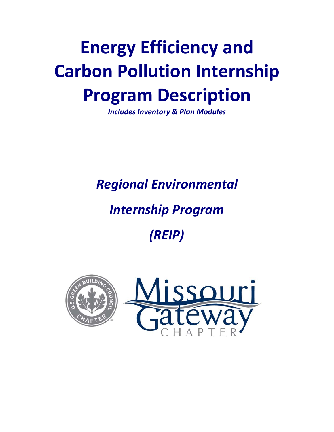# **Energy Efficiency and Carbon Pollution Internship Program Description**

**Includes Inventory & Plan Modules** 

**Regional Environmental** 

# **Internship Program**

(REIP)



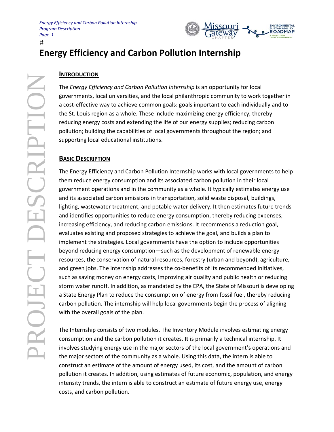

## **Energy Efficiency and Carbon Pollution Internship**

#### **INTRODUCTION**

The Energy Efficiency and Carbon Pollution Internship is an opportunity for local governments, local universities, and the local philanthropic community to work together in a cost-effective way to achieve common goals: goals important to each individually and to the St. Louis region as a whole. These include maximizing energy efficiency, thereby reducing energy costs and extending the life of our energy supplies; reducing carbon pollution; building the capabilities of local governments throughout the region; and supporting local educational institutions.

#### **BASIC DESCRIPTION**

The Energy Efficiency and Carbon Pollution Internship works with local governments to help them reduce energy consumption and its associated carbon pollution in their local government operations and in the community as a whole. It typically estimates energy use and its associated carbon emissions in transportation, solid waste disposal, buildings, lighting, wastewater treatment, and potable water delivery. It then estimates future trends and identifies opportunities to reduce energy consumption, thereby reducing expenses, increasing efficiency, and reducing carbon emissions. It recommends a reduction goal, evaluates existing and proposed strategies to achieve the goal, and builds a plan to implement the strategies. Local governments have the option to include opportunities beyond reducing energy consumption—such as the development of renewable energy resources, the conservation of natural resources, forestry (urban and beyond), agriculture, and green jobs. The internship addresses the co-benefits of its recommended initiatives, such as saving money on energy costs, improving air quality and public health or reducing storm water runoff. In addition, as mandated by the EPA, the State of Missouri is developing a State Energy Plan to reduce the consumption of energy from fossil fuel, thereby reducing carbon pollution. The internship will help local governments begin the process of aligning with the overall goals of the plan.

The Internship consists of two modules. The Inventory Module involves estimating energy consumption and the carbon pollution it creates. It is primarily a technical internship. It involves studying energy use in the major sectors of the local government's operations and the major sectors of the community as a whole. Using this data, the intern is able to construct an estimate of the amount of energy used, its cost, and the amount of carbon pollution it creates. In addition, using estimates of future economic, population, and energy intensity trends, the intern is able to construct an estimate of future energy use, energy costs, and carbon pollution.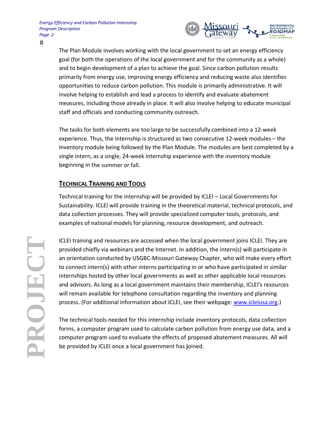

The Plan Module involves working with the local government to set an energy efficiency goal (for both the operations of the local government and for the community as a whole) and to begin development of a plan to achieve the goal. Since carbon pollution results primarily from energy use, improving energy efficiency and reducing waste also identifies opportunities to reduce carbon pollution. This module is primarily administrative. It will involve helping to establish and lead a process to identify and evaluate abatement measures, including those already in place. It will also involve helping to educate municipal staff and officials and conducting community outreach.

The tasks for both elements are too large to be successfully combined into a 12-week experience. Thus, the internship is structured as two consecutive 12-week modules - the Inventory module being followed by the Plan Module. The modules are best completed by a single intern, as a single, 24-week internship experience with the inventory module beginning in the summer or fall.

### **TECHNICAL TRAINING AND TOOLS**

Technical training for the internship will be provided by ICLEI - Local Governments for Sustainability. ICLEI will provide training in the theoretical material, technical protocols, and data collection processes. They will provide specialized computer tools, protocols, and examples of national models for planning, resource development, and outreach.

ICLEI training and resources are accessed when the local government joins ICLEI. They are provided chiefly via webinars and the Internet. In addition, the intern(s) will participate in an orientation conducted by USGBC-Missouri Gateway Chapter, who will make every effort to connect intern(s) with other interns participating in or who have participated in similar internships hosted by other local governments as well as other applicable local resources and advisors. As long as a local government maintains their membership, ICLEI's resources will remain available for telephone consultation regarding the inventory and planning process. (For additional information about ICLEI, see their webpage: www.icleiusa.org.)

The technical tools needed for this internship include inventory protocols, data collection forms, a computer program used to calculate carbon pollution from energy use data, and a computer program used to evaluate the effects of proposed abatement measures. All will be provided by ICLEI once a local government has joined.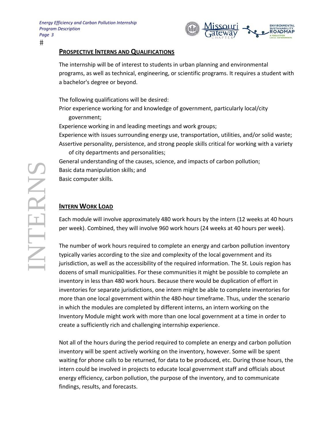

#### **PROSPECTIVE INTERNS AND QUALIFICATIONS**

The internship will be of interest to students in urban planning and environmental programs, as well as technical, engineering, or scientific programs. It requires a student with a bachelor's degree or beyond.

The following qualifications will be desired: Prior experience working for and knowledge of government, particularly local/city government; Experience working in and leading meetings and work groups; Experience with issues surrounding energy use, transportation, utilities, and/or solid waste; Assertive personality, persistence, and strong people skills critical for working with a variety of city departments and personalities; General understanding of the causes, science, and impacts of carbon pollution; Basic data manipulation skills; and

Basic computer skills.

#### **INTERN WORK LOAD**

Each module will involve approximately 480 work hours by the intern (12 weeks at 40 hours per week). Combined, they will involve 960 work hours (24 weeks at 40 hours per week).

The number of work hours required to complete an energy and carbon pollution inventory typically varies according to the size and complexity of the local government and its jurisdiction, as well as the accessibility of the required information. The St. Louis region has dozens of small municipalities. For these communities it might be possible to complete an inventory in less than 480 work hours. Because there would be duplication of effort in inventories for separate jurisdictions, one intern might be able to complete inventories for more than one local government within the 480-hour timeframe. Thus, under the scenario in which the modules are completed by different interns, an intern working on the Inventory Module might work with more than one local government at a time in order to create a sufficiently rich and challenging internship experience.

Not all of the hours during the period required to complete an energy and carbon pollution inventory will be spent actively working on the inventory, however. Some will be spent waiting for phone calls to be returned, for data to be produced, etc. During those hours, the intern could be involved in projects to educate local government staff and officials about energy efficiency, carbon pollution, the purpose of the inventory, and to communicate findings, results, and forecasts.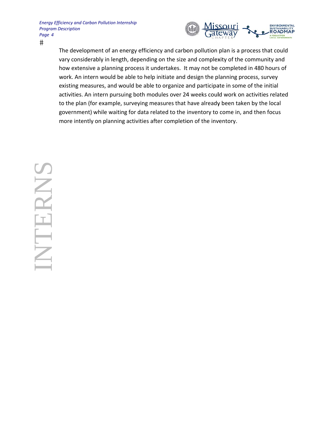

The development of an energy efficiency and carbon pollution plan is a process that could vary considerably in length, depending on the size and complexity of the community and how extensive a planning process it undertakes. It may not be completed in 480 hours of work. An intern would be able to help initiate and design the planning process, survey existing measures, and would be able to organize and participate in some of the initial activities. An intern pursuing both modules over 24 weeks could work on activities related to the plan (for example, surveying measures that have already been taken by the local government) while waiting for data related to the inventory to come in, and then focus more intently on planning activities after completion of the inventory.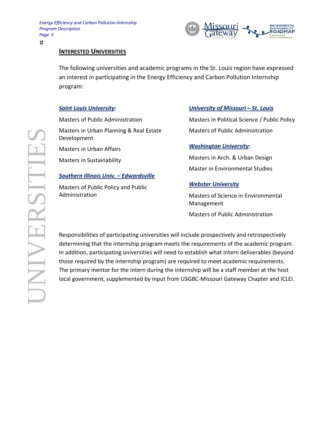

#### **INTERESTED UNIVERSITIES**

The following universities and academic programs in the St. Louis region have expressed an interest in participating in the Energy Efficiency and Carbon Pollution Internship program:

#### **Saint Louis University:**

**Masters of Public Administration** 

Masters in Urban Planning & Real Estate Development Masters in Urban Affairs

Masters in Sustainability

#### **Southern Illinois Univ. - Edwardsville**

Masters of Public Policy and Public Administration

#### University of Missouri - St. Louis

Masters in Political Science / Public Policy **Masters of Public Administration** 

#### **Washington University:**

Masters in Arch. & Urban Design **Master in Environmental Studies** 

#### **Webster University**

Masters of Science in Environmental Management

**Masters of Public Administration** 

Responsibilities of participating universities will include prospectively and retrospectively determining that the internship program meets the requirements of the academic program. In addition, participating universities will need to establish what intern deliverables (beyond those required by the internship program) are required to meet academic requirements. The primary mentor for the intern during the internship will be a staff member at the host local government, supplemented by input from USGBC-Missouri Gateway Chapter and ICLEI.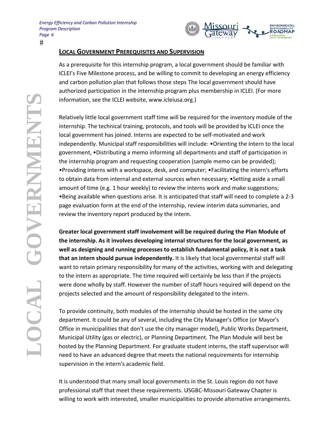

#### **LOCAL GOVERNMENT PREREQUISITES AND SUPERVISION**

As a prerequisite for this internship program, a local government should be familiar with ICLEI's Five Milestone process, and be willing to commit to developing an energy efficiency and carbon pollution plan that follows those steps The local government should have authorized participation in the internship program plus membership in ICLEI. (For more information, see the ICLEI website, www.icleiusa.org.)

Relatively little local government staff time will be required for the inventory module of the internship. The technical training, protocols, and tools will be provided by ICLEI once the local government has joined. Interns are expected to be self-motivated and work independently. Municipal staff responsibilities will include: • Orienting the intern to the local government, . Distributing a memo informing all departments and staff of participation in the internship program and requesting cooperation (sample memo can be provided); • Providing interns with a workspace, desk, and computer; • Facilitating the intern's efforts to obtain data from internal and external sources when necessary; • Setting aside a small amount of time (e.g. 1 hour weekly) to review the interns work and make suggestions; •Being available when questions arise. It is anticipated that staff will need to complete a 2-3 page evaluation form at the end of the internship, review interim data summaries, and review the inventory report produced by the intern.

Greater local government staff involvement will be required during the Plan Module of the internship. As it involves developing internal structures for the local government, as well as designing and running processes to establish fundamental policy, it is not a task that an intern should pursue independently. It is likely that local governmental staff will want to retain primary responsibility for many of the activities, working with and delegating to the intern as appropriate. The time required will certainly be less than if the projects were done wholly by staff. However the number of staff hours required will depend on the projects selected and the amount of responsibility delegated to the intern.

To provide continuity, both modules of the internship should be hosted in the same city department. It could be any of several, including the City Manager's Office (or Mayor's Office in municipalities that don't use the city manager model), Public Works Department, Municipal Utility (gas or electric), or Planning Department. The Plan Module will best be hosted by the Planning Department. For graduate student interns, the staff supervisor will need to have an advanced degree that meets the national requirements for internship supervision in the intern's academic field.

It is understood that many small local governments in the St. Louis region do not have professional staff that meet these requirements. USGBC-Missouri Gateway Chapter is willing to work with interested, smaller municipalities to provide alternative arrangements.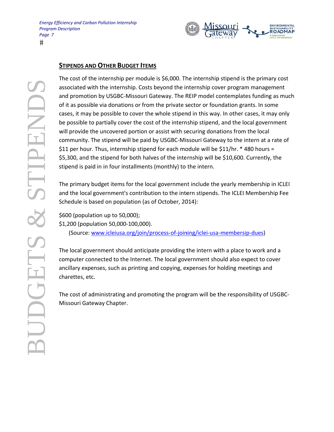

#### **STIPENDS AND OTHER BUDGET ITEMS**

The cost of the internship per module is \$6,000. The internship stipend is the primary cost associated with the internship. Costs beyond the internship cover program management and promotion by USGBC-Missouri Gateway. The REIP model contemplates funding as much of it as possible via donations or from the private sector or foundation grants. In some cases, it may be possible to cover the whole stipend in this way. In other cases, it may only be possible to partially cover the cost of the internship stipend, and the local government will provide the uncovered portion or assist with securing donations from the local community. The stipend will be paid by USGBC-Missouri Gateway to the intern at a rate of \$11 per hour. Thus, internship stipend for each module will be \$11/hr. \* 480 hours = \$5,300, and the stipend for both halves of the internship will be \$10,600. Currently, the stipend is paid in in four installments (monthly) to the intern.

The primary budget items for the local government include the yearly membership in ICLEI and the local government's contribution to the intern stipends. The ICLEI Membership Fee Schedule is based on population (as of October, 2014):

\$600 (population up to 50,000);

\$1,200 (population 50,000-100,000).

(Source: www.icleiusa.org/join/process-of-joining/iclei-usa-membersip-dues)

The local government should anticipate providing the intern with a place to work and a computer connected to the Internet. The local government should also expect to cover ancillary expenses, such as printing and copying, expenses for holding meetings and charettes, etc.

The cost of administrating and promoting the program will be the responsibility of USGBC-Missouri Gateway Chapter.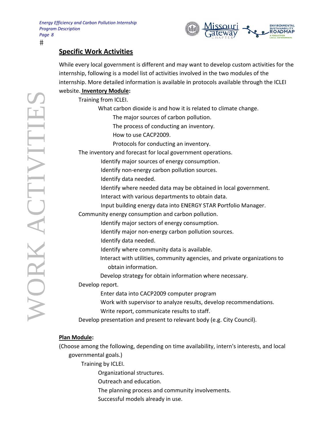

## **Specific Work Activities**

While every local government is different and may want to develop custom activities for the internship, following is a model list of activities involved in the two modules of the internship. More detailed information is available in protocols available through the ICLEI website. Inventory Module:

Training from ICLEI. What carbon dioxide is and how it is related to climate change. The major sources of carbon pollution. The process of conducting an inventory. How to use CACP2009. Protocols for conducting an inventory. The inventory and forecast for local government operations. Identify major sources of energy consumption. Identify non-energy carbon pollution sources. Identify data needed. Identify where needed data may be obtained in local government. Interact with various departments to obtain data. Input building energy data into ENERGY STAR Portfolio Manager. Community energy consumption and carbon pollution. Identify major sectors of energy consumption. Identify major non-energy carbon pollution sources. Identify data needed. Identify where community data is available. Interact with utilities, community agencies, and private organizations to obtain information. Develop strategy for obtain information where necessary. Develop report. Enter data into CACP2009 computer program Work with supervisor to analyze results, develop recommendations. Write report, communicate results to staff. Develop presentation and present to relevant body (e.g. City Council).

#### **Plan Module:**

(Choose among the following, depending on time availability, intern's interests, and local governmental goals.)

Training by ICLEI.

Organizational structures.

Outreach and education.

- The planning process and community involvements.
- Successful models already in use.